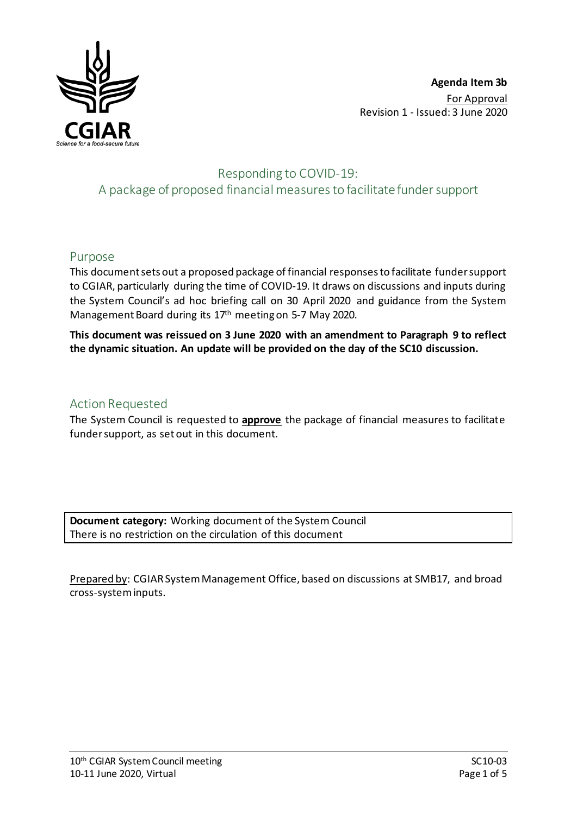

# Responding to COVID-19: A package of proposed financial measuresto facilitate funder support

### Purpose

This document sets out a proposed package of financial responses to facilitate funder support to CGIAR, particularly during the time of COVID-19. It draws on discussions and inputs during the System Council's ad hoc briefing call on 30 April 2020 and guidance from the System Management Board during its 17th meeting on 5-7 May 2020.

**This document was reissued on 3 June 2020 with an amendment to Paragraph 9 to reflect the dynamic situation. An update will be provided on the day of the SC10 discussion.** 

## Action Requested

The System Council is requested to **approve** the package of financial measures to facilitate funder support, as set out in this document.

**Document category:** Working document of the System Council There is no restriction on the circulation of this document

Prepared by: CGIAR System Management Office, based on discussions at SMB17, and broad cross-system inputs.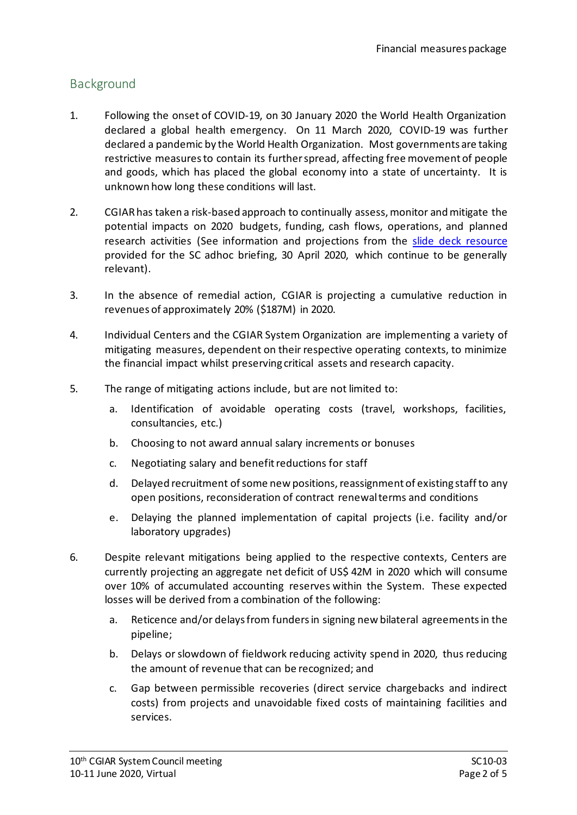# Background

- 1. Following the onset of COVID-19, on 30 January 2020 the World Health Organization declared a global health emergency. On 11 March 2020, COVID-19 was further declared a pandemic by the World Health Organization. Most governments are taking restrictive measures to contain its further spread, affecting free movement of people and goods, which has placed the global economy into a state of uncertainty. It is unknown how long these conditions will last.
- 2. CGIAR has taken a risk-based approach to continually assess, monitor and mitigate the potential impacts on 2020 budgets, funding, cash flows, operations, and planned research activities (See information and projections from the slide deck resource provided for the SC adhoc briefing, 30 April 2020, which continue to be generally relevant).
- 3. In the absence of remedial action, CGIAR is projecting a cumulative reduction in revenues of approximately 20% (\$187M) in 2020.
- 4. Individual Centers and the CGIAR System Organization are implementing a variety of mitigating measures, dependent on their respective operating contexts, to minimize the financial impact whilst preserving critical assets and research capacity.
- 5. The range of mitigating actions include, but are not limited to:
	- a. Identification of avoidable operating costs (travel, workshops, facilities, consultancies, etc.)
	- b. Choosing to not award annual salary increments or bonuses
	- c. Negotiating salary and benefit reductions for staff
	- d. Delayed recruitment of some new positions, reassignment of existing staff to any open positions, reconsideration of contract renewal terms and conditions
	- e. Delaying the planned implementation of capital projects (i.e. facility and/or laboratory upgrades)
- 6. Despite relevant mitigations being applied to the respective contexts, Centers are currently projecting an aggregate net deficit of US\$ 42M in 2020 which will consume over 10% of accumulated accounting reserves within the System. These expected losses will be derived from a combination of the following:
	- a. Reticence and/or delaysfrom funders in signing new bilateral agreementsin the pipeline;
	- b. Delays or slowdown of fieldwork reducing activity spend in 2020, thus reducing the amount of revenue that can be recognized; and
	- c. Gap between permissible recoveries (direct service chargebacks and indirect costs) from projects and unavoidable fixed costs of maintaining facilities and services.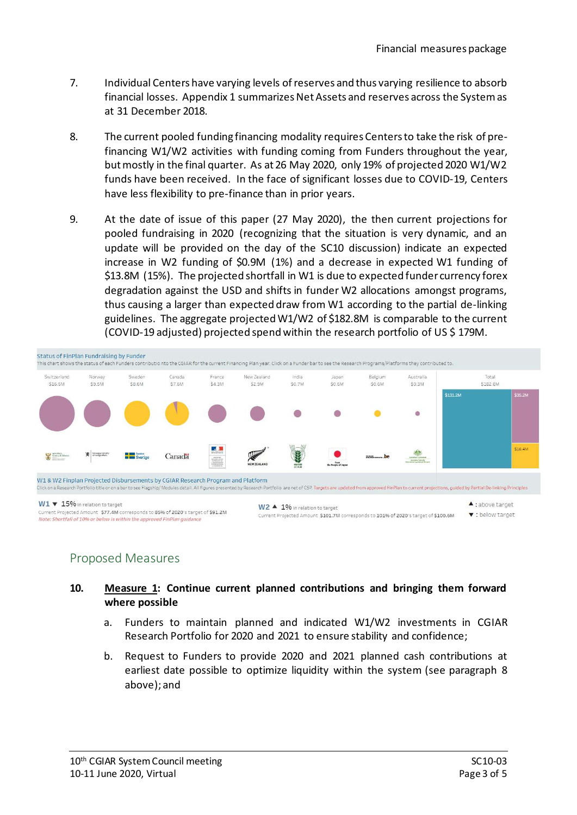- 7. Individual Centers have varying levels of reserves and thus varying resilience to absorb financial losses. Appendix 1 summarizes Net Assets and reserves across the System as at 31 December 2018.
- 8. The current pooled funding financing modality requires Centers to take the risk of prefinancing W1/W2 activities with funding coming from Funders throughout the year, but mostly in the final quarter. As at 26 May 2020, only 19% of projected 2020 W1/W2 funds have been received. In the face of significant losses due to COVID-19, Centers have less flexibility to pre-finance than in prior years.
- 9. At the date of issue of this paper (27 May 2020), the then current projections for pooled fundraising in 2020 (recognizing that the situation is very dynamic, and an update will be provided on the day of the SC10 discussion) indicate an expected increase in W2 funding of \$0.9M (1%) and a decrease in expected W1 funding of \$13.8M (15%). The projected shortfall in W1 is due to expected funder currency forex degradation against the USD and shifts in funder W2 allocations amongst programs, thus causing a larger than expected draw from W1 according to the partial de-linking guidelines. The aggregate projected W1/W2 of \$182.8M is comparable to the current (COVID-19 adjusted) projected spend within the research portfolio of US \$ 179M.



### Proposed Measures

#### **10. Measure 1: Continue current planned contributions and bringing them forward where possible**

- a. Funders to maintain planned and indicated W1/W2 investments in CGIAR Research Portfolio for 2020 and 2021 to ensure stability and confidence;
- b. Request to Funders to provide 2020 and 2021 planned cash contributions at earliest date possible to optimize liquidity within the system (see paragraph 8 above); and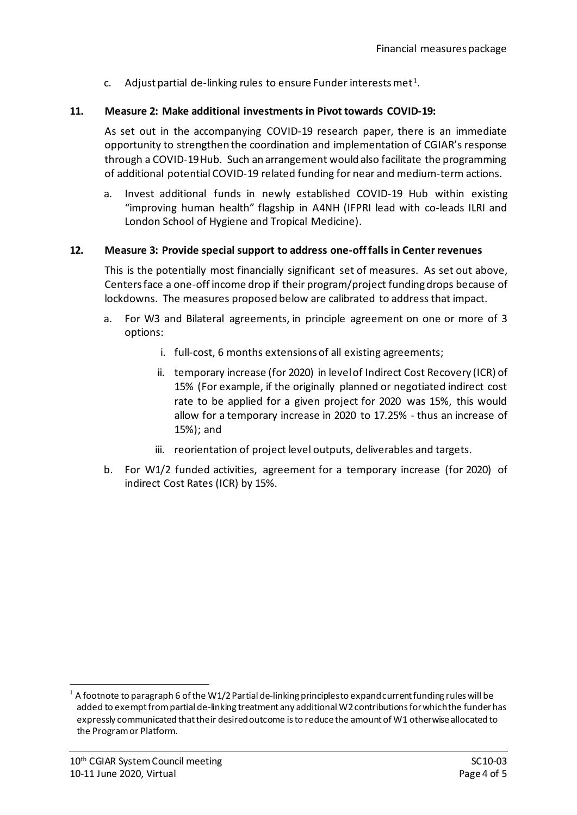c. Adjust partial de-linking rules to ensure Funder interests met<sup>[1](#page-3-0)</sup>.

#### **11. Measure 2: Make additional investments in Pivot towards COVID-19:**

As set out in the accompanying COVID-19 research paper, there is an immediate opportunity to strengthen the coordination and implementation of CGIAR's response through a COVID-19 Hub. Such an arrangement would also facilitate the programming of additional potential COVID-19 related funding for near and medium-term actions.

a. Invest additional funds in newly established COVID-19 Hub within existing "improving human health" flagship in A4NH (IFPRI lead with co-leads ILRI and London School of Hygiene and Tropical Medicine).

#### **12. Measure 3: Provide special support to address one-off falls in Center revenues**

This is the potentially most financially significant set of measures. As set out above, Centers face a one-off income drop if their program/project funding drops because of lockdowns. The measures proposed below are calibrated to address that impact.

- a. For W3 and Bilateral agreements, in principle agreement on one or more of 3 options:
	- i. full-cost, 6 months extensions of all existing agreements;
	- ii. temporary increase (for 2020) in level of Indirect Cost Recovery (ICR) of 15% (For example, if the originally planned or negotiated indirect cost rate to be applied for a given project for 2020 was 15%, this would allow for a temporary increase in 2020 to 17.25% - thus an increase of 15%); and
	- iii. reorientation of project level outputs, deliverables and targets.
- b. For W1/2 funded activities, agreement for a temporary increase (for 2020) of indirect Cost Rates (ICR) by 15%.

<span id="page-3-0"></span>A footnote to paragraph 6 of the W1/2 Partial de-linking principles to expand current funding rules will be added to exempt from partial de-linking treatment any additional W2 contributions for which the funder has expressly communicated that their desired outcome is to reduce the amount of W1 otherwise allocated to the Programor Platform.